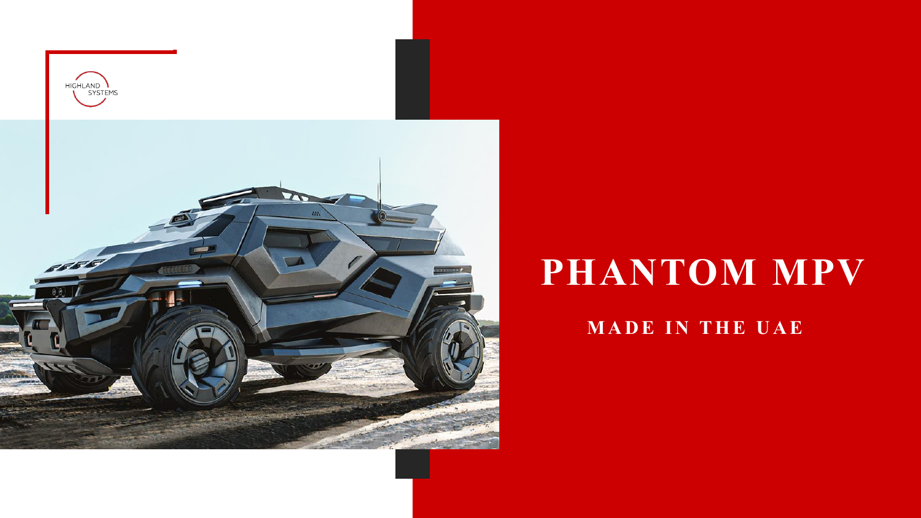

# **PHANTOM MPV**

#### **MADE IN THE UAE**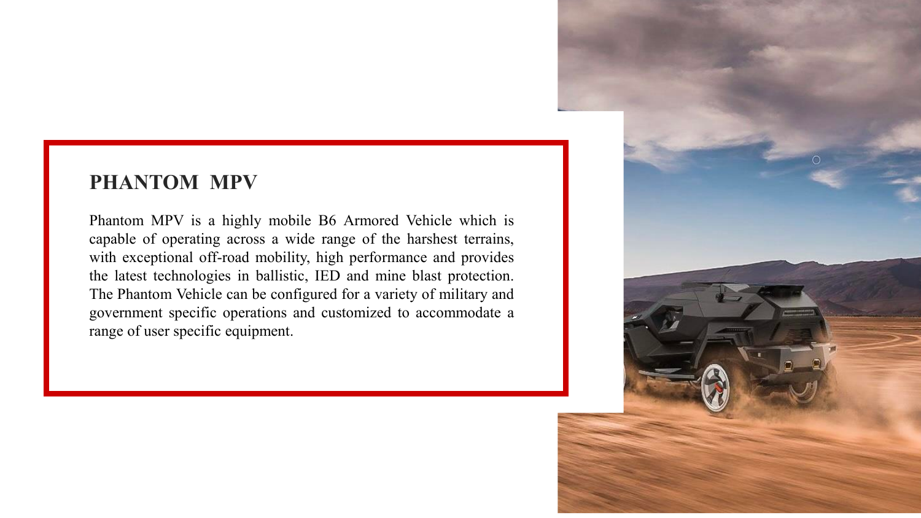#### **PHANTOM MPV**

Phantom MPV is a highly mobile B6 Armored Vehicle which is capable of operating across a wide range of the harshest terrains, with exceptional off-road mobility, high performance and provides the latest technologies in ballistic, IED and mine blast protection. The Phantom Vehicle can be configured for a variety of military and government specific operations and customized to accommodate a range of user specific equipment.

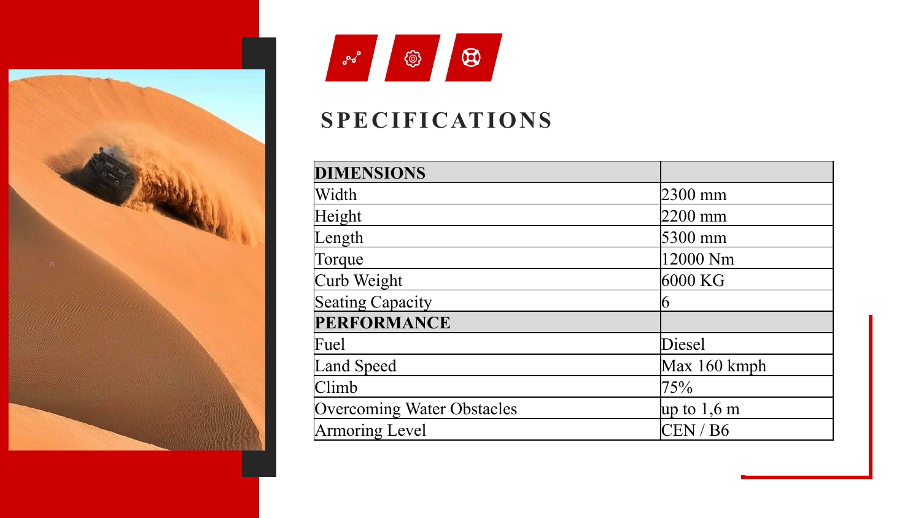



### **SPECIFICATIONS**

| <b>DIMENSIONS</b>                 |                       |
|-----------------------------------|-----------------------|
| Width                             | 2300 mm               |
| Height                            | 2200 mm               |
| Length                            | 5300 mm               |
| Torque                            | 12000 Nm              |
| Curb Weight                       | 6000 KG               |
| Seating Capacity                  | n                     |
| <b>PERFORMANCE</b>                |                       |
| Fuel                              | Diesel                |
| Land Speed                        | Max 160 kmph          |
| Climb                             | 75%                   |
| <b>Overcoming Water Obstacles</b> | up to $1,6 \text{ m}$ |
| Armoring Level                    | CEN/B6                |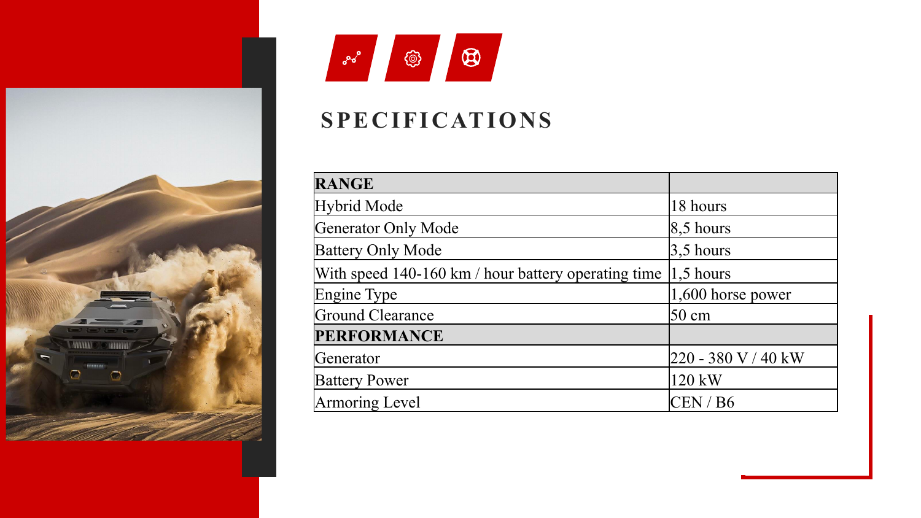



#### **SPECIFICATIONS**

| <b>RANGE</b>                                        |                          |
|-----------------------------------------------------|--------------------------|
| Hybrid Mode                                         | 18 hours                 |
| Generator Only Mode                                 | $\vert 8, 5 \vert$ hours |
| <b>Battery Only Mode</b>                            | $3,5$ hours              |
| With speed 140-160 km / hour battery operating time | $ 1,5$ hours             |
| Engine Type                                         | $ 1,600$ horse power     |
| Ground Clearance                                    | $50 \text{ cm}$          |
| <b>PERFORMANCE</b>                                  |                          |
| Generator                                           | 220 - 380 V / 40 kW      |
| <b>Battery Power</b>                                | 120 kW                   |
| Armoring Level                                      | CEN/B6                   |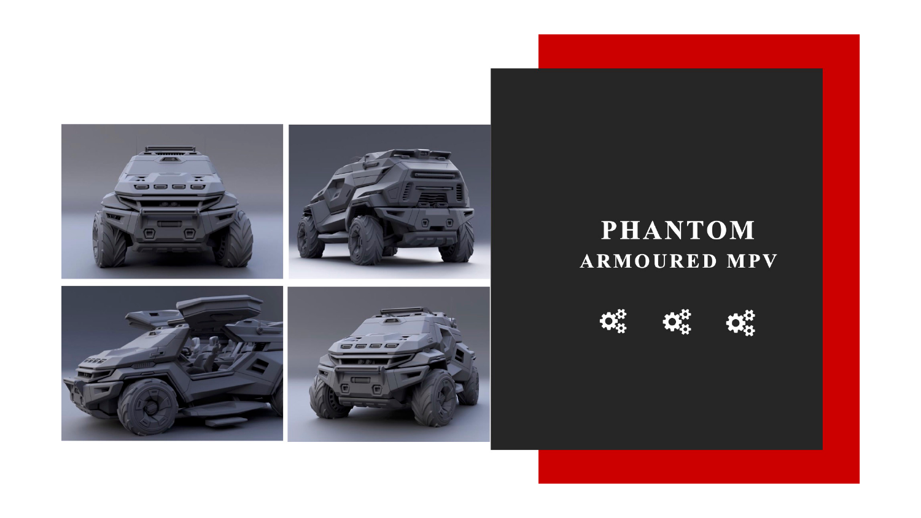

### **PHANTOM ARMOURED MPV**

 $\boldsymbol{\Omega}_{\alpha}^{\alpha}$ ₩  $\mathbf{Q}_{\alpha}^{\mathcal{U}}$